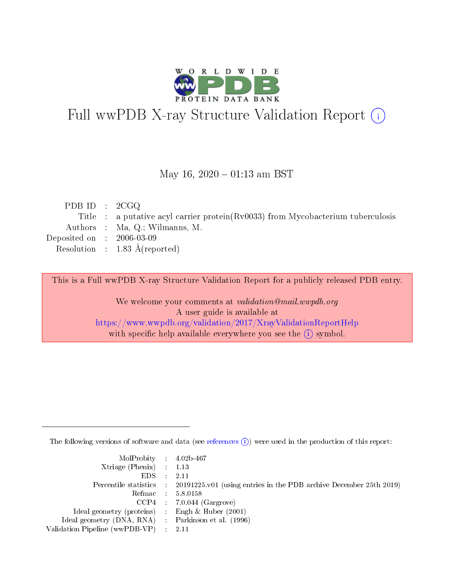

# Full wwPDB X-ray Structure Validation Report (i)

#### May 16,  $2020 - 01:13$  am BST

| PDB ID : $2CGQ$             |                                                                                    |
|-----------------------------|------------------------------------------------------------------------------------|
|                             | Title : a putative acyl carrier protein $(Rv0033)$ from Mycobacterium tuberculosis |
|                             | Authors : Ma, Q.; Wilmanns, M.                                                     |
| Deposited on : $2006-03-09$ |                                                                                    |
|                             | Resolution : $1.83 \text{ Å}$ (reported)                                           |
|                             |                                                                                    |

This is a Full wwPDB X-ray Structure Validation Report for a publicly released PDB entry.

We welcome your comments at validation@mail.wwpdb.org A user guide is available at <https://www.wwpdb.org/validation/2017/XrayValidationReportHelp> with specific help available everywhere you see the  $(i)$  symbol.

The following versions of software and data (see [references](https://www.wwpdb.org/validation/2017/XrayValidationReportHelp#references)  $(i)$ ) were used in the production of this report:

| MolProbity : $4.02b-467$                            |                                                                                            |
|-----------------------------------------------------|--------------------------------------------------------------------------------------------|
| Xtriage (Phenix) $: 1.13$                           |                                                                                            |
| EDS -                                               | 2.11                                                                                       |
|                                                     | Percentile statistics : 20191225.v01 (using entries in the PDB archive December 25th 2019) |
|                                                     | Refmac 58.0158                                                                             |
|                                                     | $CCP4$ 7.0.044 (Gargrove)                                                                  |
| Ideal geometry (proteins) : Engh $\&$ Huber (2001)  |                                                                                            |
| Ideal geometry (DNA, RNA) : Parkinson et al. (1996) |                                                                                            |
| Validation Pipeline (wwPDB-VP)                      | -2.11                                                                                      |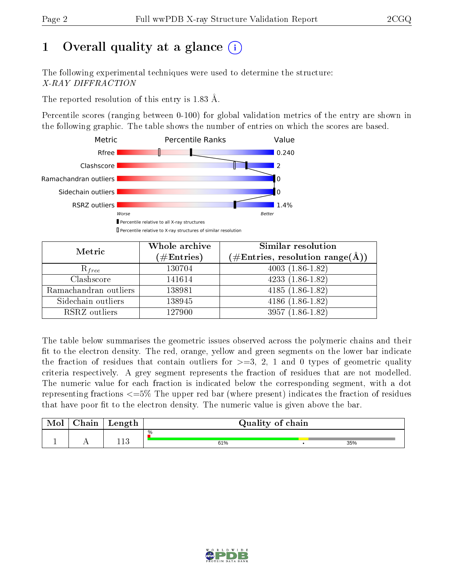# 1 [O](https://www.wwpdb.org/validation/2017/XrayValidationReportHelp#overall_quality)verall quality at a glance  $(i)$

The following experimental techniques were used to determine the structure: X-RAY DIFFRACTION

The reported resolution of this entry is 1.83 Å.

Percentile scores (ranging between 0-100) for global validation metrics of the entry are shown in the following graphic. The table shows the number of entries on which the scores are based.



| Metric                | Whole archive<br>$(\#\mathrm{Entries})$ | <b>Similar resolution</b><br>$(\#\text{Entries}, \text{resolution range}(\text{\AA}))$ |
|-----------------------|-----------------------------------------|----------------------------------------------------------------------------------------|
| $R_{free}$            | 130704                                  | $4003(1.86-1.82)$                                                                      |
| Clashscore            | 141614                                  | $4233(1.86-1.82)$                                                                      |
| Ramachandran outliers | 138981                                  | $4185(1.86-1.82)$                                                                      |
| Sidechain outliers    | 138945                                  | $4186(1.86-1.82)$                                                                      |
| RSRZ outliers         | 127900                                  | $3957(1.86-1.82)$                                                                      |

The table below summarises the geometric issues observed across the polymeric chains and their fit to the electron density. The red, orange, yellow and green segments on the lower bar indicate the fraction of residues that contain outliers for  $>=3, 2, 1$  and 0 types of geometric quality criteria respectively. A grey segment represents the fraction of residues that are not modelled. The numeric value for each fraction is indicated below the corresponding segment, with a dot representing fractions  $\epsilon=5\%$  The upper red bar (where present) indicates the fraction of residues that have poor fit to the electron density. The numeric value is given above the bar.

| Mol | $\alpha$ hain | Length | Quality of chain |  |     |  |
|-----|---------------|--------|------------------|--|-----|--|
|     |               |        | %                |  |     |  |
|     |               | 119    | 61%              |  | 35% |  |

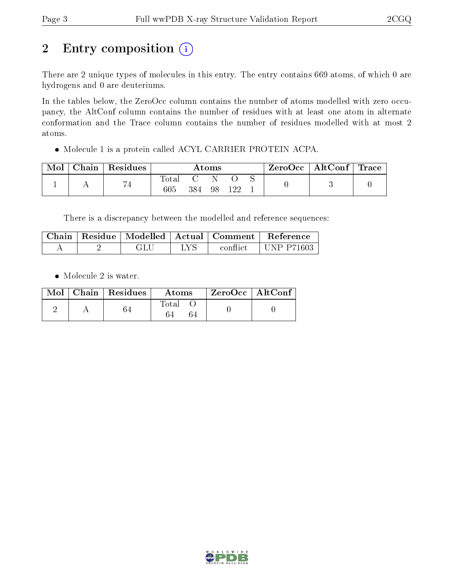# 2 Entry composition  $(i)$

There are 2 unique types of molecules in this entry. The entry contains 669 atoms, of which 0 are hydrogens and 0 are deuteriums.

In the tables below, the ZeroOcc column contains the number of atoms modelled with zero occupancy, the AltConf column contains the number of residues with at least one atom in alternate conformation and the Trace column contains the number of residues modelled with at most 2 atoms.

Molecule 1 is a protein called ACYL CARRIER PROTEIN ACPA.

| Mol | ${\rm Chain} \parallel$ | $\mid$ Residues | $\rm{Atoms}$  |     |    | $ZeroOcc \mid AltConf \mid Trace \mid$ |  |  |  |
|-----|-------------------------|-----------------|---------------|-----|----|----------------------------------------|--|--|--|
|     |                         | 74              | l'otal<br>605 | 384 | 98 |                                        |  |  |  |

There is a discrepancy between the modelled and reference sequences:

|  |  | Chain   Residue   Modelled   Actual   Comment | Reference         |
|--|--|-----------------------------------------------|-------------------|
|  |  | conflict                                      | <b>UNP P71603</b> |

• Molecule 2 is water.

|  | $\text{Mol}$   Chain   Residues | Atoms | ZeroOcc   AltConf |  |
|--|---------------------------------|-------|-------------------|--|
|  |                                 | Total |                   |  |

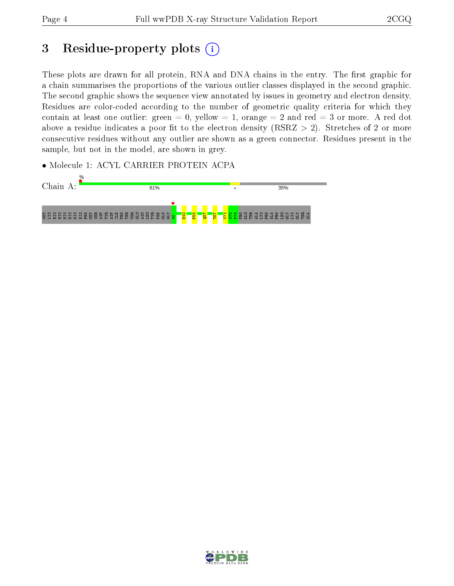## 3 Residue-property plots  $(i)$

These plots are drawn for all protein, RNA and DNA chains in the entry. The first graphic for a chain summarises the proportions of the various outlier classes displayed in the second graphic. The second graphic shows the sequence view annotated by issues in geometry and electron density. Residues are color-coded according to the number of geometric quality criteria for which they contain at least one outlier: green  $= 0$ , yellow  $= 1$ , orange  $= 2$  and red  $= 3$  or more. A red dot above a residue indicates a poor fit to the electron density (RSRZ  $> 2$ ). Stretches of 2 or more consecutive residues without any outlier are shown as a green connector. Residues present in the sample, but not in the model, are shown in grey.

• Molecule 1: ACYL CARRIER PROTEIN ACPA



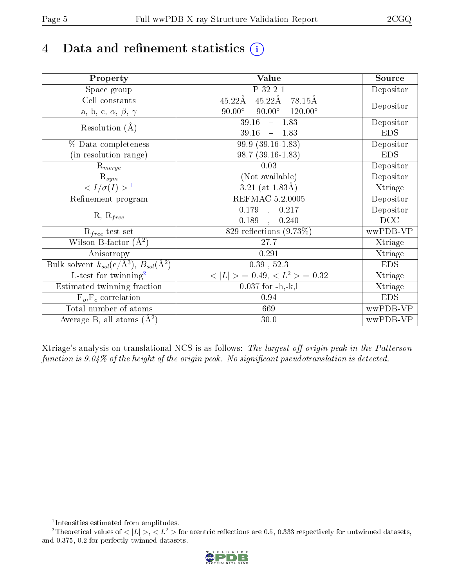# 4 Data and refinement statistics  $(i)$

| Property                                                             | Value                                            | Source     |
|----------------------------------------------------------------------|--------------------------------------------------|------------|
| Space group                                                          | P 32 2 1                                         | Depositor  |
| Cell constants                                                       | $45.22\text{\AA}$<br>$45.22\text{\AA}$<br>78.15Å |            |
| a, b, c, $\alpha$ , $\beta$ , $\gamma$                               | $90.00^\circ$<br>$120.00^\circ$<br>$90.00^\circ$ | Depositor  |
| Resolution $(A)$                                                     | $-1.83$<br>39.16                                 | Depositor  |
|                                                                      | 39.16<br>$-1.83$                                 | <b>EDS</b> |
| % Data completeness                                                  | 99.9 (39.16-1.83)                                | Depositor  |
| (in resolution range)                                                | $98.7(39.16-1.83)$                               | <b>EDS</b> |
| $R_{merge}$                                                          | 0.03                                             | Depositor  |
| $\mathrm{R}_{sym}$                                                   | (Not available)                                  | Depositor  |
| $\sqrt{I/\sigma}(I) > 1$                                             | $3.21$ (at 1.83Å)                                | Xtriage    |
| Refinement program                                                   | <b>REFMAC 5.2.0005</b>                           | Depositor  |
|                                                                      | $\overline{0.179}$ ,<br>0.217                    | Depositor  |
| $R, R_{free}$                                                        | 0.189<br>0.240<br>$\ddot{\phantom{a}}$           | DCC        |
| $R_{free}$ test set                                                  | 829 reflections $(9.73\%)$                       | wwPDB-VP   |
| Wilson B-factor $(A^2)$                                              | 27.7                                             | Xtriage    |
| Anisotropy                                                           | 0.291                                            | Xtriage    |
| Bulk solvent $k_{sol}(e/\mathring{A}^3)$ , $B_{sol}(\mathring{A}^2)$ | $0.39$ , $52.3$                                  | <b>EDS</b> |
| $\overline{L-test for}$ twinning <sup>2</sup>                        | $< L >$ = 0.49, $< L2$ = 0.32                    | Xtriage    |
| Estimated twinning fraction                                          | $0.037$ for $-h,-k,l$                            | Xtriage    |
| $F_o, F_c$ correlation                                               | 0.94                                             | <b>EDS</b> |
| Total number of atoms                                                | 669                                              | wwPDB-VP   |
| Average B, all atoms $(A^2)$                                         | $30.0\,$                                         | wwPDB-VP   |

Xtriage's analysis on translational NCS is as follows: The largest off-origin peak in the Patterson function is  $9.04\%$  of the height of the origin peak. No significant pseudotranslation is detected.

<sup>&</sup>lt;sup>2</sup>Theoretical values of  $\langle |L| \rangle$ ,  $\langle L^2 \rangle$  for acentric reflections are 0.5, 0.333 respectively for untwinned datasets, and 0.375, 0.2 for perfectly twinned datasets.



<span id="page-4-1"></span><span id="page-4-0"></span><sup>1</sup> Intensities estimated from amplitudes.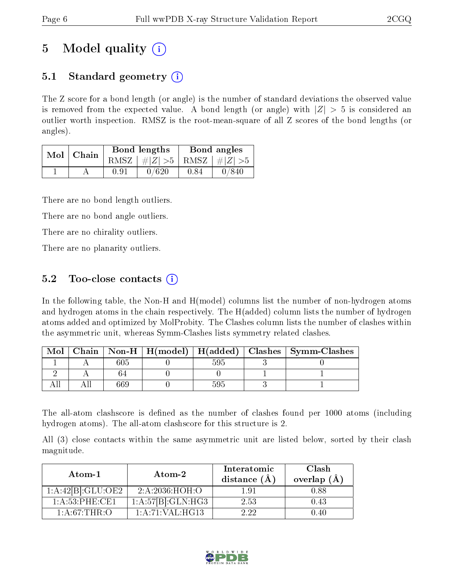## 5 Model quality  $(i)$

### 5.1 Standard geometry  $\overline{()}$

The Z score for a bond length (or angle) is the number of standard deviations the observed value is removed from the expected value. A bond length (or angle) with  $|Z| > 5$  is considered an outlier worth inspection. RMSZ is the root-mean-square of all Z scores of the bond lengths (or angles).

| Mol | Chain |      | <b>Bond lengths</b>        | Bond angles |       |
|-----|-------|------|----------------------------|-------------|-------|
|     |       | RMSZ | $\#Z  > 5$ RMSZ $\#Z  > 5$ |             |       |
|     |       | 0.91 | 0/620                      | 0.84        | 0/840 |

There are no bond length outliers.

There are no bond angle outliers.

There are no chirality outliers.

There are no planarity outliers.

### 5.2 Too-close contacts  $\overline{()}$

In the following table, the Non-H and H(model) columns list the number of non-hydrogen atoms and hydrogen atoms in the chain respectively. The H(added) column lists the number of hydrogen atoms added and optimized by MolProbity. The Clashes column lists the number of clashes within the asymmetric unit, whereas Symm-Clashes lists symmetry related clashes.

| Mol |     |     | Chain   Non-H   H(model)   H(added)   Clashes   Symm-Clashes |
|-----|-----|-----|--------------------------------------------------------------|
|     | 605 | 595 |                                                              |
|     |     |     |                                                              |
|     | 669 | 595 |                                                              |

The all-atom clashscore is defined as the number of clashes found per 1000 atoms (including hydrogen atoms). The all-atom clashscore for this structure is 2.

All (3) close contacts within the same asymmetric unit are listed below, sorted by their clash magnitude.

| Atom-1                         | Atom-2                       | Interatomic<br>distance $(\AA)$ | Clash<br>overlap $(\AA)$ |
|--------------------------------|------------------------------|---------------------------------|--------------------------|
| $1:A:42[B]:GLU:\overline{OE2}$ | 2: A:2036:HOH:O              | 191                             | 0.88                     |
| 1: A:53:PHE:CE1                | 1:A:57[B]:GLN:HG3            | 2.53                            | 0.43                     |
| 1: A:67:THR:O                  | $1:A:71:V\overline{AL:HG13}$ | 9.99                            | 140                      |

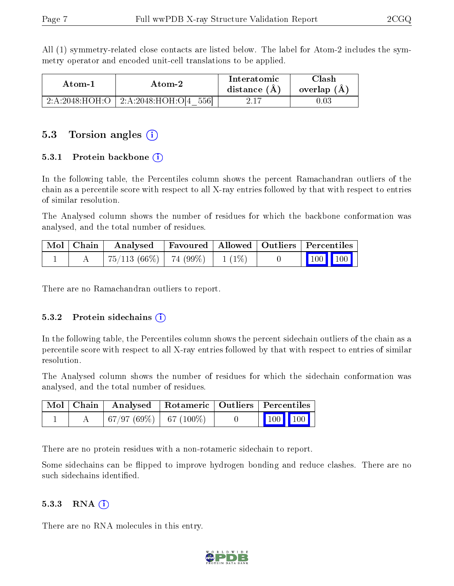All (1) symmetry-related close contacts are listed below. The label for Atom-2 includes the symmetry operator and encoded unit-cell translations to be applied.

| Atom-1          |                             | Interatomic    | $\gamma$ lash |
|-----------------|-----------------------------|----------------|---------------|
| Atom-2          |                             | distance $(A)$ | overlap $(A)$ |
| 2: A:2048:HOH:O | 2: A:2048:HOH:O[4]<br>-5561 |                |               |

#### 5.3 Torsion angles (i)

#### 5.3.1 Protein backbone  $(i)$

In the following table, the Percentiles column shows the percent Ramachandran outliers of the chain as a percentile score with respect to all X-ray entries followed by that with respect to entries of similar resolution.

The Analysed column shows the number of residues for which the backbone conformation was analysed, and the total number of residues.

| $\boxed{\text{Mol}}$ Chain | Analysed                             |  | Favoured   Allowed   Outliers   Percentiles                |
|----------------------------|--------------------------------------|--|------------------------------------------------------------|
|                            | $75/113(66\%)$   74 (99\%)   1 (1\%) |  | $\begin{array}{ c c c c }\n\hline\n100 & 100\n\end{array}$ |

There are no Ramachandran outliers to report.

#### 5.3.2 Protein sidechains  $(i)$

In the following table, the Percentiles column shows the percent sidechain outliers of the chain as a percentile score with respect to all X-ray entries followed by that with respect to entries of similar resolution.

The Analysed column shows the number of residues for which the sidechain conformation was analysed, and the total number of residues.

|  | Mol   Chain   Analysed   Rotameric   Outliers   Percentiles |  |                         |  |
|--|-------------------------------------------------------------|--|-------------------------|--|
|  | $+67/97(69\%) + 67(100\%)$                                  |  | $\vert$ 100 100 $\vert$ |  |

There are no protein residues with a non-rotameric sidechain to report.

Some sidechains can be flipped to improve hydrogen bonding and reduce clashes. There are no such sidechains identified.

#### 5.3.3 RNA  $(i)$

There are no RNA molecules in this entry.

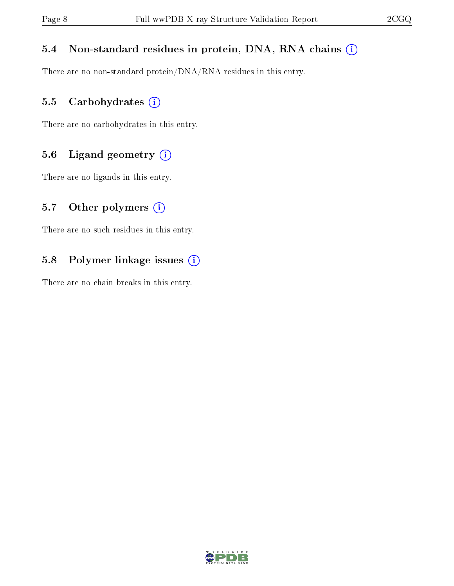#### 5.4 Non-standard residues in protein, DNA, RNA chains (i)

There are no non-standard protein/DNA/RNA residues in this entry.

#### 5.5 Carbohydrates (i)

There are no carbohydrates in this entry.

#### 5.6 Ligand geometry (i)

There are no ligands in this entry.

#### 5.7 [O](https://www.wwpdb.org/validation/2017/XrayValidationReportHelp#nonstandard_residues_and_ligands)ther polymers  $(i)$

There are no such residues in this entry.

#### 5.8 Polymer linkage issues (i)

There are no chain breaks in this entry.